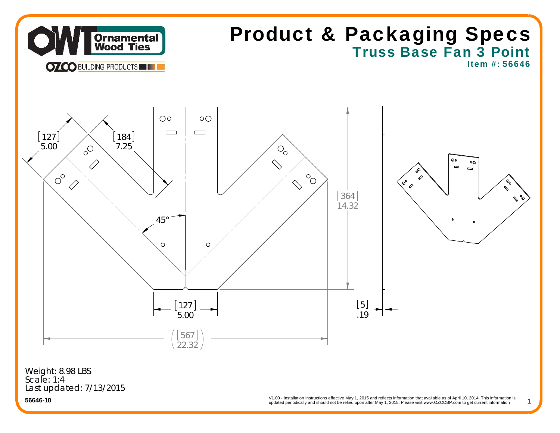

# Truss Base Fan 3 Point Product & Packaging Specs

Item #: 56646

1



Last updated: 7/13/2015 Weight: 8.98 LBS Scale: 1:4

updated periodically and should not be relied upon after May 1, 2015. Please visit www.OZCOBP.com to get current information V1.00 - Installation Instructions effective May 1, 2015 and reflects information that available as of April 10, 2014. This information is<br>
undated periodically and should not be relied upon after May 1, 2015. Please visit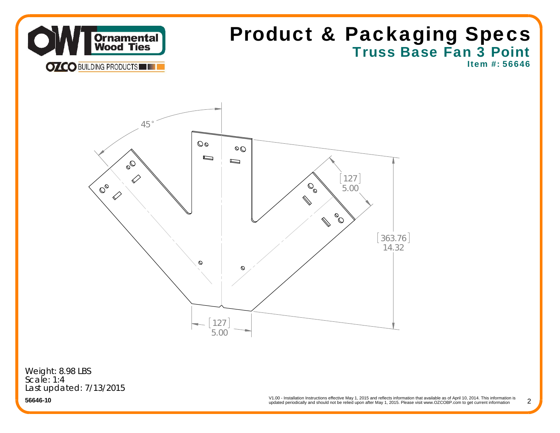

## Truss Base Fan 3 Point Product & Packaging Specs

Item #: 56646



Weight: 8.98 LBS Scale: 1:4Last updated: 7/13/2015

**56646-10**

V1.00 - Installation Instructions effective May 1, 2015 and reflects information that available as of April 10, 2014. This information is updated periodically and should not be relied upon after May 1, 2015. Please visit www.OZCOBP.com to get current information

2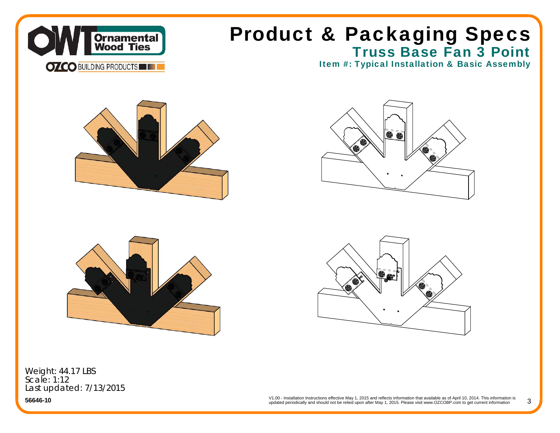



Truss Base Fan 3 Point





Weight: 44.17 LBS Scale: 1:12Last updated: 7/13/2015

**56646-10**

V1.00 - Installation Instructions effective May 1, 2015 and reflects information that available as of April 10, 2014. This information is updated periodically and should not be relied upon after May 1, 2015. Please visit www.OZCOBP.com to get current information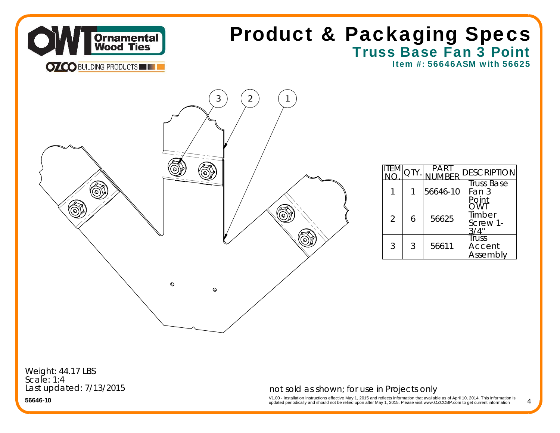

### Truss Base Fan 3 Point Product & Packaging Specs

Item #: 56646ASM with 56625



|                |   |          | <b>DESCRIPTION</b>                  |
|----------------|---|----------|-------------------------------------|
|                |   | 56646-10 | <b>Truss Base</b><br>Fan 3<br>Point |
| $\overline{2}$ | 6 | 56625    | つ\MT<br>Timber<br>Screw 1-          |
| 3              | 3 | 56611    | Truss<br>Accent<br>Assembly         |

4

Weight: 44.17 LBS Scale: 1:4Last updated: 7/13/2015

#### not sold as shown; for use in Projects only

V1.00 - Installation Instructions effective May 1, 2015 and reflects information that available as of April 10, 2014. This information is<br>updated periodically and should not be relied upon after May 1, 2015. Please visit w

**56646-10**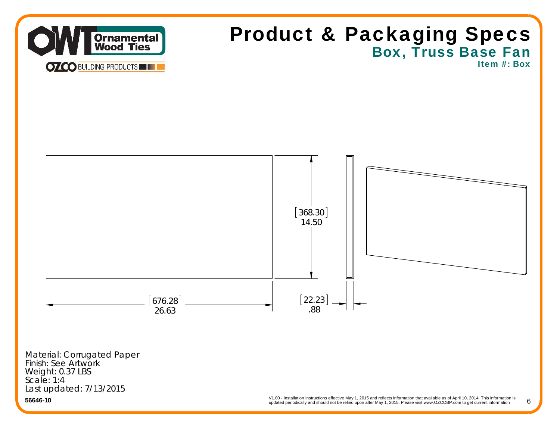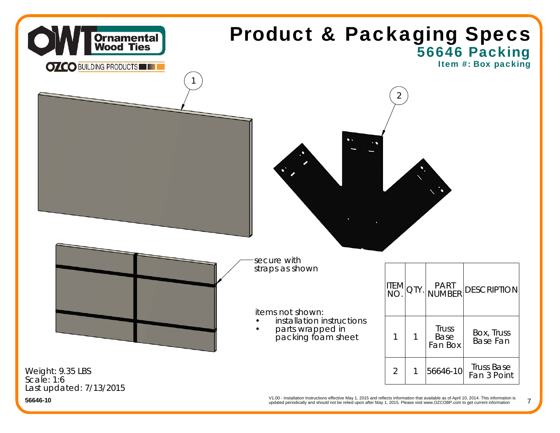

updated periodically and should not be relied upon after May 1, 2015. Please visit www.OZCOBP.com to get current information

7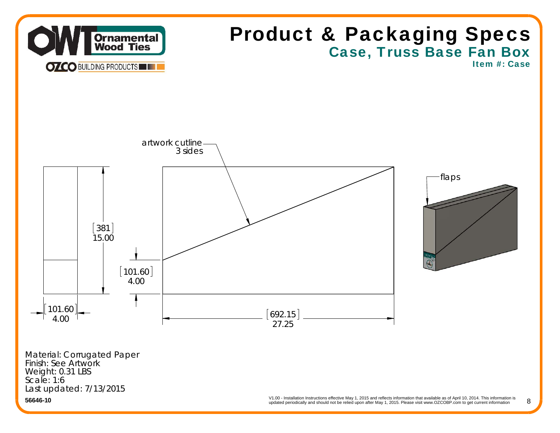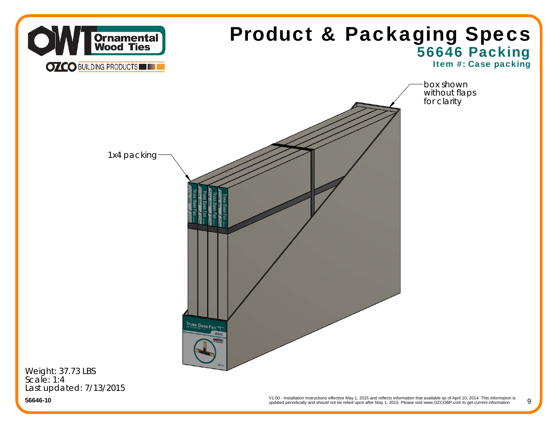

**56646-10**

V1.00 - Installation Instructions effective May 1, 2015 and reflects information that available as of April 10, 2014. This information is updated periodically and should not be relied upon after May 1, 2015. Please visit www.OZCOBP.com to get current information 9